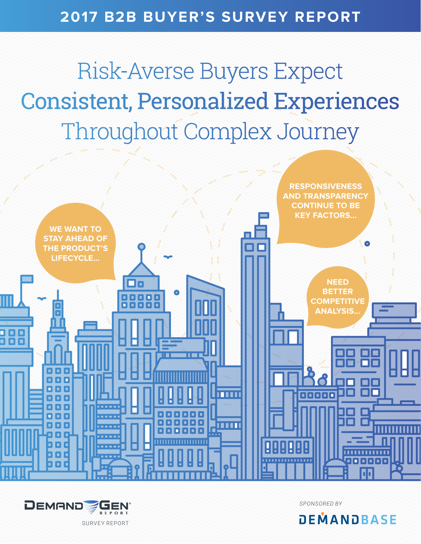### **2017 B2B BUYER'S SURVEY REPORT**

Risk-Averse Buyers Expect Consistent, Personalized Experiences Throughout Complex Journey





*SPONSORED BY*



SURVEY REPORT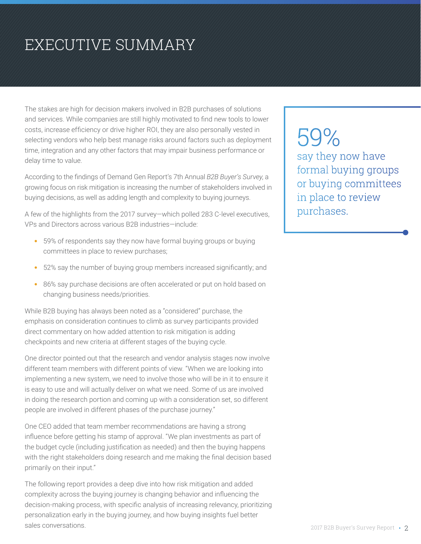## EXECUTIVE SUMMARY

The stakes are high for decision makers involved in B2B purchases of solutions and services. While companies are still highly motivated to find new tools to lower costs, increase efficiency or drive higher ROI, they are also personally vested in selecting vendors who help best manage risks around factors such as deployment time, integration and any other factors that may impair business performance or delay time to value.

According to the findings of Demand Gen Report's 7th Annual *B2B Buyer's Survey*, a growing focus on risk mitigation is increasing the number of stakeholders involved in buying decisions, as well as adding length and complexity to buying journeys.

A few of the highlights from the 2017 survey—which polled 283 C-level executives, VPs and Directors across various B2B industries—include:

- 59% of respondents say they now have formal buying groups or buying committees in place to review purchases;
- 52% say the number of buying group members increased significantly; and
- 86% say purchase decisions are often accelerated or put on hold based on changing business needs/priorities.

While B2B buying has always been noted as a "considered" purchase, the emphasis on consideration continues to climb as survey participants provided direct commentary on how added attention to risk mitigation is adding checkpoints and new criteria at different stages of the buying cycle.

One director pointed out that the research and vendor analysis stages now involve different team members with different points of view. "When we are looking into implementing a new system, we need to involve those who will be in it to ensure it is easy to use and will actually deliver on what we need. Some of us are involved in doing the research portion and coming up with a consideration set, so different people are involved in different phases of the purchase journey."

One CEO added that team member recommendations are having a strong influence before getting his stamp of approval. "We plan investments as part of the budget cycle (including justification as needed) and then the buying happens with the right stakeholders doing research and me making the final decision based primarily on their input."

The following report provides a deep dive into how risk mitigation and added complexity across the buying journey is changing behavior and influencing the decision-making process, with specific analysis of increasing relevancy, prioritizing personalization early in the buying journey, and how buying insights fuel better sales conversations.

59% say they now have formal buying groups or buying committees in place to review purchases.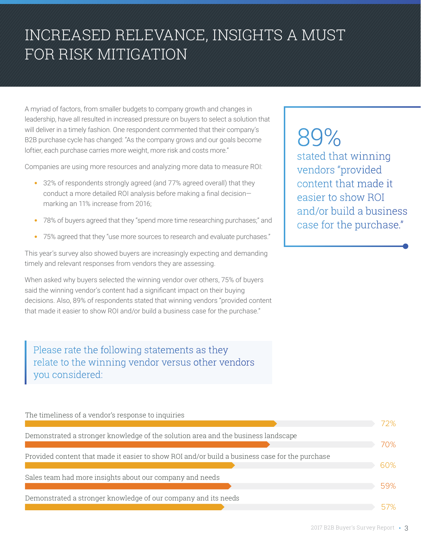### INCREASED RELEVANCE, INSIGHTS A MUST FOR RISK MITIGATION

A myriad of factors, from smaller budgets to company growth and changes in leadership, have all resulted in increased pressure on buyers to select a solution that will deliver in a timely fashion. One respondent commented that their company's B2B purchase cycle has changed: "As the company grows and our goals become loftier, each purchase carries more weight, more risk and costs more."

Companies are using more resources and analyzing more data to measure ROI:

- 32% of respondents strongly agreed (and 77% agreed overall) that they conduct a more detailed ROI analysis before making a final decision marking an 11% increase from 2016;
- 78% of buyers agreed that they "spend more time researching purchases;" and
- 75% agreed that they "use more sources to research and evaluate purchases."

This year's survey also showed buyers are increasingly expecting and demanding timely and relevant responses from vendors they are assessing.

When asked why buyers selected the winning vendor over others, 75% of buyers said the winning vendor's content had a significant impact on their buying decisions. Also, 89% of respondents stated that winning vendors "provided content that made it easier to show ROI and/or build a business case for the purchase."

Please rate the following statements as they relate to the winning vendor versus other vendors you considered:

#### 72% 70% 60% 57% 59% The timeliness of a vendor's response to inquiries Demonstrated a stronger knowledge of the solution area and the business landscape Provided content that made it easier to show ROI and/or build a business case for the purchase Sales team had more insights about our company and needs Demonstrated a stronger knowledge of our company and its needs

89% stated that winning vendors "provided content that made it easier to show ROI and/or build a business case for the purchase."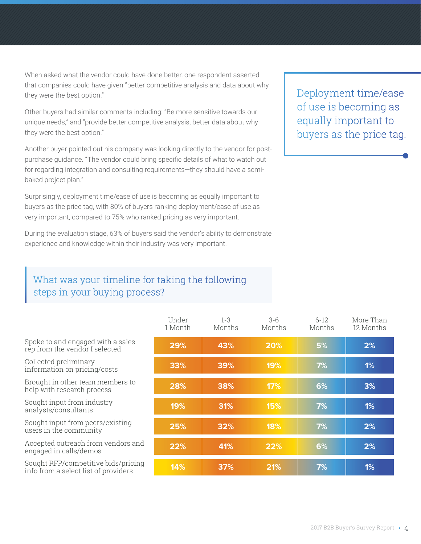When asked what the vendor could have done better, one respondent asserted that companies could have given "better competitive analysis and data about why they were the best option."

Other buyers had similar comments including: "Be more sensitive towards our unique needs," and "provide better competitive analysis, better data about why they were the best option."

Another buyer pointed out his company was looking directly to the vendor for postpurchase guidance. "The vendor could bring specific details of what to watch out for regarding integration and consulting requirements—they should have a semibaked project plan."

Surprisingly, deployment time/ease of use is becoming as equally important to buyers as the price tag, with 80% of buyers ranking deployment/ease of use as very important, compared to 75% who ranked pricing as very important.

During the evaluation stage, 63% of buyers said the vendor's ability to demonstrate experience and knowledge within their industry was very important.

#### What was your timeline for taking the following steps in your buying process?

|                                                                             | Under<br>1 Month | $1 - 3$<br>Months | $3-6$<br>Months | 6-12<br>Months | More Than<br>12 Months |
|-----------------------------------------------------------------------------|------------------|-------------------|-----------------|----------------|------------------------|
| Spoke to and engaged with a sales<br>rep from the vendor I selected         | 29%              | 43%               | 20%             | 5%             | 2%                     |
| Collected preliminary<br>information on pricing/costs                       | 33%              | 39%               | 19%             | 7%             | 1%                     |
| Brought in other team members to<br>help with research process              | 28%              | 38%               | 17%             | 6%             | 3%                     |
| Sought input from industry<br>analysts/consultants                          | 19%              | 31%               | 15%             | 7%             | 1%                     |
| Sought input from peers/existing<br>users in the community                  | 25%              | 32%               | 18%             | 7%             | 2%                     |
| Accepted outreach from vendors and<br>engaged in calls/demos                | 22%              | 41%               | 22%             | 6%             | 2%                     |
| Sought RFP/competitive bids/pricing<br>info from a select list of providers | 14%              | 37%               | 21%             | 7%             | 1%                     |

Deployment time/ease of use is becoming as equally important to buyers as the price tag.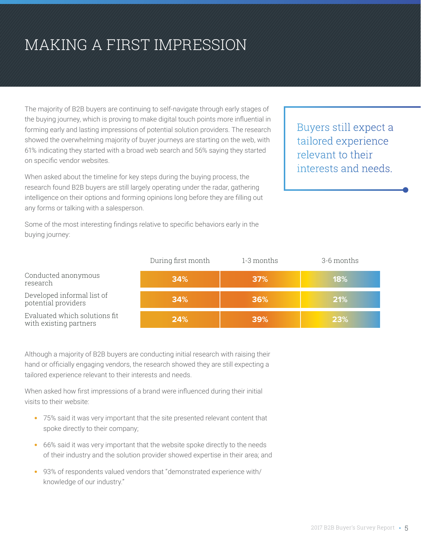## MAKING A FIRST IMPRESSION

The majority of B2B buyers are continuing to self-navigate through early stages of the buying journey, which is proving to make digital touch points more influential in forming early and lasting impressions of potential solution providers. The research showed the overwhelming majority of buyer journeys are starting on the web, with 61% indicating they started with a broad web search and 56% saying they started on specific vendor websites.

When asked about the timeline for key steps during the buying process, the research found B2B buyers are still largely operating under the radar, gathering intelligence on their options and forming opinions long before they are filling out any forms or talking with a salesperson.

Some of the most interesting findings relative to specific behaviors early in the buying journey:

Buyers still expect a tailored experience relevant to their interests and needs.

|                                                         | During first month | 1-3 months | 3-6 months |
|---------------------------------------------------------|--------------------|------------|------------|
| Conducted anonymous<br>research                         | 34%                | 37%        | 18%        |
| Developed informal list of<br>potential providers       | 34%                | 36%        | 21%        |
| Evaluated which solutions fit<br>with existing partners | 24%                | 39%        | 23%        |

Although a majority of B2B buyers are conducting initial research with raising their hand or officially engaging vendors, the research showed they are still expecting a tailored experience relevant to their interests and needs.

When asked how first impressions of a brand were influenced during their initial visits to their website:

- 75% said it was very important that the site presented relevant content that spoke directly to their company;
- 66% said it was very important that the website spoke directly to the needs of their industry and the solution provider showed expertise in their area; and
- 93% of respondents valued vendors that "demonstrated experience with/ knowledge of our industry."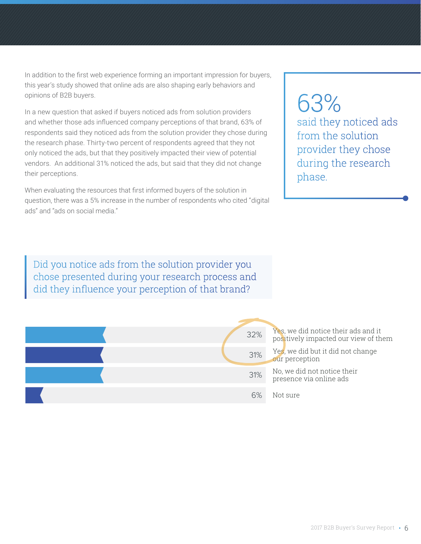In addition to the first web experience forming an important impression for buyers, this year's study showed that online ads are also shaping early behaviors and opinions of B2B buyers.

In a new question that asked if buyers noticed ads from solution providers and whether those ads influenced company perceptions of that brand, 63% of respondents said they noticed ads from the solution provider they chose during the research phase. Thirty-two percent of respondents agreed that they not only noticed the ads, but that they positively impacted their view of potential vendors. An additional 31% noticed the ads, but said that they did not change their perceptions.

When evaluating the resources that first informed buyers of the solution in question, there was a 5% increase in the number of respondents who cited "digital ads" and "ads on social media."

### 63% said they noticed ads from the solution provider they chose during the research phase.

Did you notice ads from the solution provider you chose presented during your research process and did they influence your perception of that brand?

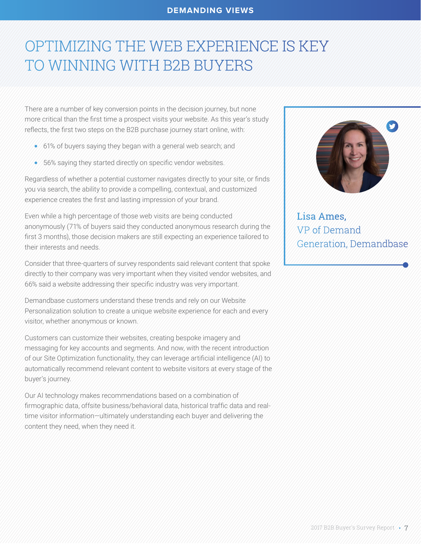#### **DEMANDING VIEWS**

### OPTIMIZING THE WEB EXPERIENCE IS KEY TO WINNING WITH B2B BUYERS

There are a number of key conversion points in the decision journey, but none more critical than the first time a prospect visits your website. As this year's study reflects, the first two steps on the B2B purchase journey start online, with:

- **•** 61% of buyers saying they began with a general web search; and
- **•** 56% saying they started directly on specific vendor websites.

Regardless of whether a potential customer navigates directly to your site, or finds you via search, the ability to provide a compelling, contextual, and customized experience creates the first and lasting impression of your brand.

Even while a high percentage of those web visits are being conducted anonymously (71% of buyers said they conducted anonymous research during the first 3 months), those decision makers are still expecting an experience tailored to their interests and needs.

Consider that three-quarters of survey respondents said relevant content that spoke directly to their company was very important when they visited vendor websites, and 66% said a website addressing their specific industry was very important.

Demandbase customers understand these trends and rely on our Website Personalization solution to create a unique website experience for each and every visitor, whether anonymous or known.

Customers can customize their websites, creating bespoke imagery and messaging for key accounts and segments. And now, with the recent introduction of our Site Optimization functionality, they can leverage artificial intelligence (AI) to automatically recommend relevant content to website visitors at every stage of the buyer's journey.

Our AI technology makes recommendations based on a combination of firmographic data, offsite business/behavioral data, historical traffic data and realtime visitor information—ultimately understanding each buyer and delivering the content they need, when they need it.



Lisa Ames, VP of Demand Generation, Demandbase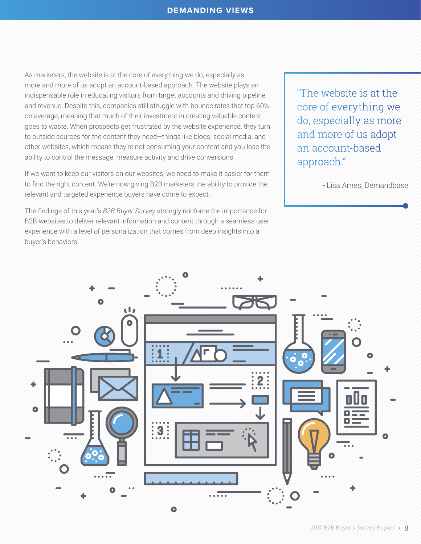#### **DEMANDING VIEWS**

As marketers, the website is at the core of everything we do, especially as more and more of us adopt an account-based approach. The website plays an indispensable role in educating visitors from target accounts and driving pipeline and revenue. Despite this, companies still struggle with bounce rates that top 60% on average, meaning that much of their investment in creating valuable content goes to waste. When prospects get frustrated by the website experience, they turn to outside sources for the content they need—things like blogs, social media, and other websites, which means they're not consuming your content and you lose the ability to control the message, measure activity and drive conversions.

If we want to keep our visitors on our websites, we need to make it easier for them to find the right content. We're now giving B2B marketers the ability to provide the relevant and targeted experience buyers have come to expect.

The findings of this year's *B2B Buyer Survey* strongly reinforce the importance for B2B websites to deliver relevant information and content through a seamless user experience with a level of personalization that comes from deep insights into a buyer's behaviors.

"The website is at the core of everything we do, especially as more and more of us adopt an account-based approach."

- Lisa Ames, Demandbase

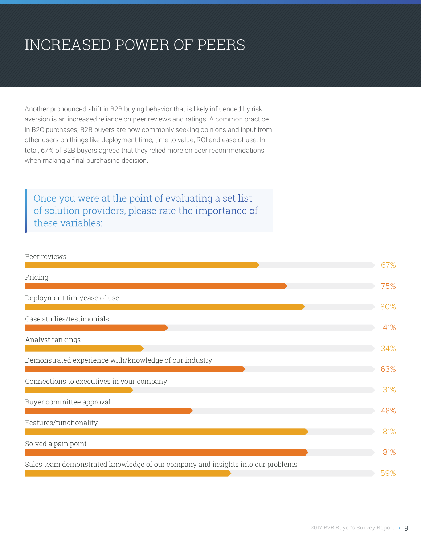### INCREASED POWER OF PEERS

Another pronounced shift in B2B buying behavior that is likely influenced by risk aversion is an increased reliance on peer reviews and ratings. A common practice in B2C purchases, B2B buyers are now commonly seeking opinions and input from other users on things like deployment time, time to value, ROI and ease of use. In total, 67% of B2B buyers agreed that they relied more on peer recommendations when making a final purchasing decision.

Once you were at the point of evaluating a set list of solution providers, please rate the importance of these variables:

#### Peer reviews

|                                                                                 | 67% |
|---------------------------------------------------------------------------------|-----|
| Pricing                                                                         |     |
|                                                                                 | 75% |
| Deployment time/ease of use                                                     |     |
|                                                                                 | 80% |
| Case studies/testimonials                                                       |     |
|                                                                                 | 41% |
| Analyst rankings                                                                |     |
|                                                                                 | 34% |
| Demonstrated experience with/knowledge of our industry                          |     |
|                                                                                 | 63% |
| Connections to executives in your company                                       |     |
|                                                                                 | 31% |
| Buyer committee approval                                                        |     |
|                                                                                 | 48% |
|                                                                                 |     |
| Features/functionality                                                          | 81% |
|                                                                                 |     |
| Solved a pain point                                                             |     |
|                                                                                 | 81% |
| Sales team demonstrated knowledge of our company and insights into our problems |     |
|                                                                                 | 59% |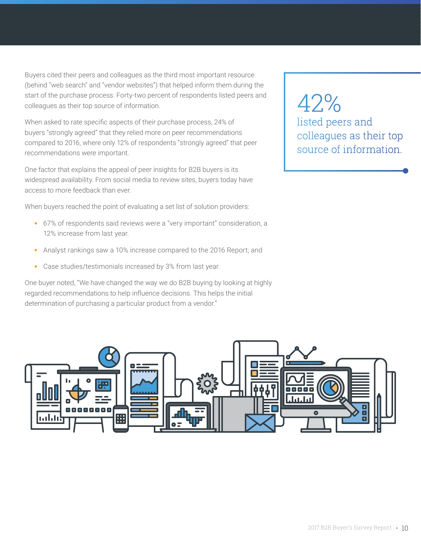Buyers cited their peers and colleagues as the third most important resource (behind "web search" and "vendor websites") that helped inform them during the start of the purchase process. Forty-two percent of respondents listed peers and colleagues as their top source of information.

When asked to rate specific aspects of their purchase process, 24% of buyers "strongly agreed" that they relied more on peer recommendations compared to 2016, where only 12% of respondents "strongly agreed" that peer recommendations were important.

One factor that explains the appeal of peer insights for B2B buyers is its widespread availability. From social media to review sites, buyers today have access to more feedback than ever.

When buyers reached the point of evaluating a set list of solution providers:

- 67% of respondents said reviews were a "very important" consideration, a 12% increase from last year.
- Analyst rankings saw a 10% increase compared to the 2016 Report; and
- Case studies/testimonials increased by 3% from last year.

One buyer noted, "We have changed the way we do B2B buying by looking at highly regarded recommendations to help influence decisions. This helps the initial determination of purchasing a particular product from a vendor."

42% listed peers and colleagues as their top source of information.

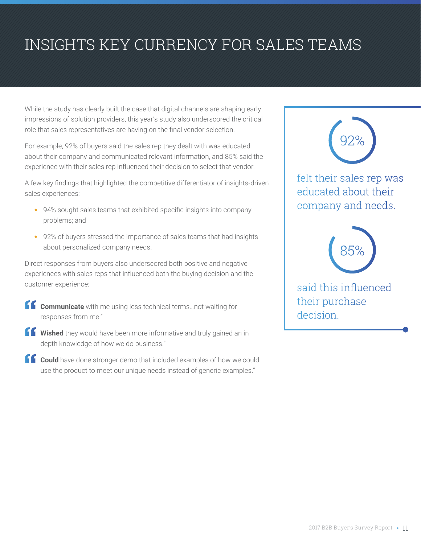## INSIGHTS KEY CURRENCY FOR SALES TEAMS

While the study has clearly built the case that digital channels are shaping early impressions of solution providers, this year's study also underscored the critical role that sales representatives are having on the final vendor selection.

For example, 92% of buyers said the sales rep they dealt with was educated about their company and communicated relevant information, and 85% said the experience with their sales rep influenced their decision to select that vendor.

A few key findings that highlighted the competitive differentiator of insights-driven sales experiences:

- 94% sought sales teams that exhibited specific insights into company problems; and
- 92% of buyers stressed the importance of sales teams that had insights about personalized company needs.

Direct responses from buyers also underscored both positive and negative experiences with sales reps that influenced both the buying decision and the customer experience:

- **Communicate** with me using less technical terms...not waiting for responses from me."
- **K** Wished they would have been more informative and truly gained an in depth knowledge of how we do business."
- **Could** have done stronger demo that included examples of how we could use the product to meet our unique needs instead of generic examples."



said this influenced their purchase decision.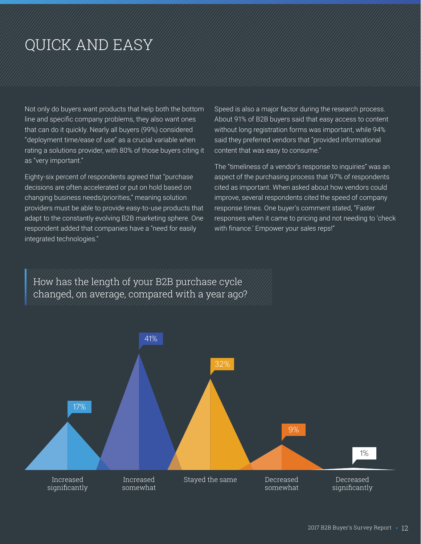## QUICK AND EASY

Not only do buyers want products that help both the bottom line and specific company problems, they also want ones that can do it quickly. Nearly all buyers (99%) considered "deployment time/ease of use" as a crucial variable when rating a solutions provider, with 80% of those buyers citing it as "very important."

Eighty-six percent of respondents agreed that "purchase decisions are often accelerated or put on hold based on changing business needs/priorities," meaning solution providers must be able to provide easy-to-use products that adapt to the constantly evolving B2B marketing sphere. One respondent added that companies have a "need for easily integrated technologies."

Speed is also a major factor during the research process. About 91% of B2B buyers said that easy access to content without long registration forms was important, while 94% said they preferred vendors that "provided informational content that was easy to consume."

The "timeliness of a vendor's response to inquiries" was an aspect of the purchasing process that 97% of respondents cited as important. When asked about how vendors could improve, several respondents cited the speed of company response times. One buyer's comment stated, "Faster responses when it came to pricing and not needing to 'check with finance.' Empower your sales reps!"

How has the length of your B2B purchase cycle changed, on average, compared with a year ago?

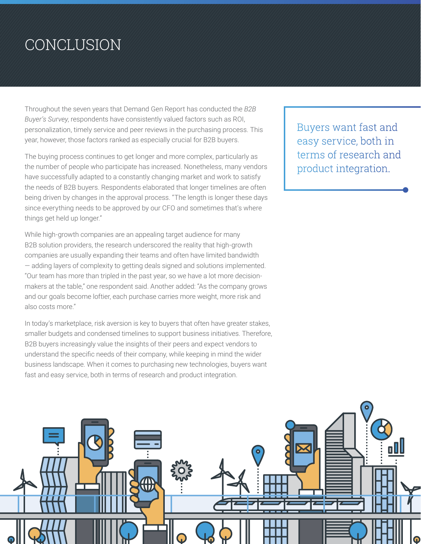### CONCLUSION

Throughout the seven years that Demand Gen Report has conducted the *B2B Buyer's Survey*, respondents have consistently valued factors such as ROI, personalization, timely service and peer reviews in the purchasing process. This year, however, those factors ranked as especially crucial for B2B buyers.

The buying process continues to get longer and more complex, particularly as the number of people who participate has increased. Nonetheless, many vendors have successfully adapted to a constantly changing market and work to satisfy the needs of B2B buyers. Respondents elaborated that longer timelines are often being driven by changes in the approval process. "The length is longer these days since everything needs to be approved by our CFO and sometimes that's where things get held up longer."

While high-growth companies are an appealing target audience for many B2B solution providers, the research underscored the reality that high-growth companies are usually expanding their teams and often have limited bandwidth — adding layers of complexity to getting deals signed and solutions implemented. "Our team has more than tripled in the past year, so we have a lot more decisionmakers at the table," one respondent said. Another added: "As the company grows and our goals become loftier, each purchase carries more weight, more risk and also costs more."

In today's marketplace, risk aversion is key to buyers that often have greater stakes, smaller budgets and condensed timelines to support business initiatives. Therefore, B2B buyers increasingly value the insights of their peers and expect vendors to understand the specific needs of their company, while keeping in mind the wider business landscape. When it comes to purchasing new technologies, buyers want fast and easy service, both in terms of research and product integration.

Buyers want fast and easy service, both in terms of research and product integration.

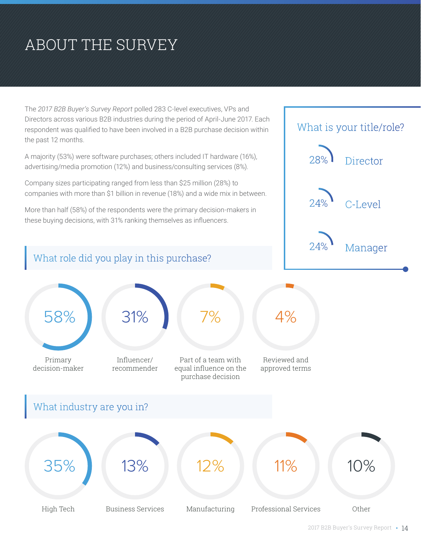# ABOUT THE SURVEY

The *2017 B2B Buyer's Survey Report* polled 283 C-level executives, VPs and Directors across various B2B industries during the period of April-June 2017. Each respondent was qualified to have been involved in a B2B purchase decision within the past 12 months.

A majority (53%) were software purchases; others included IT hardware (16%), advertising/media promotion (12%) and business/consulting services (8%).

Company sizes participating ranged from less than \$25 million (28%) to companies with more than \$1 billion in revenue (18%) and a wide mix in between.

More than half (58%) of the respondents were the primary decision-makers in these buying decisions, with 31% ranking themselves as influencers.

What role did you play in this purchase?



Primary decision-maker

58% 31%

What industry are you in?

Influencer/ recommender

Part of a team with equal influence on the purchase decision

7%

High Tech Business Services Manufacturing Professional Services Other